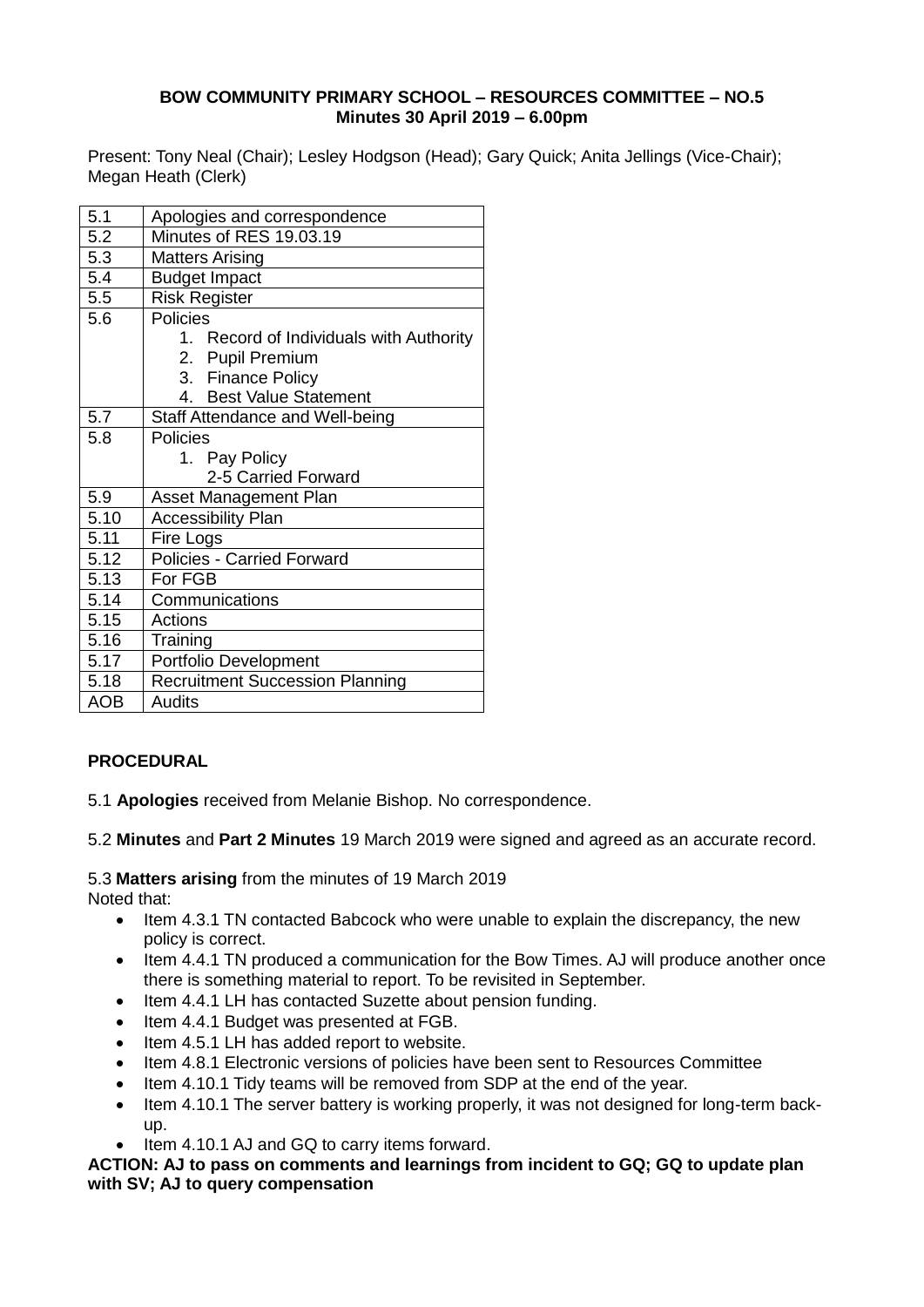#### **BOW COMMUNITY PRIMARY SCHOOL – RESOURCES COMMITTEE – NO.5 Minutes 30 April 2019 – 6.00pm**

Present: Tony Neal (Chair); Lesley Hodgson (Head); Gary Quick; Anita Jellings (Vice-Chair); Megan Heath (Clerk)

| 5.1        | Apologies and correspondence                  |
|------------|-----------------------------------------------|
| 5.2        | Minutes of RES 19.03.19                       |
| 5.3        | <b>Matters Arising</b>                        |
| 5.4        | <b>Budget Impact</b>                          |
| 5.5        | Risk Register                                 |
| 5.6        | Policies                                      |
|            | 1. Record of Individuals with Authority       |
|            | <b>Pupil Premium</b><br>2.                    |
|            | 3. Finance Policy                             |
|            | <b>Best Value Statement</b><br>4 <sup>1</sup> |
| 5.7        | Staff Attendance and Well-being               |
| 5.8        | Policies                                      |
|            | 1. Pay Policy                                 |
|            | 2-5 Carried Forward                           |
| 5.9        | <b>Asset Management Plan</b>                  |
| 5.10       | <b>Accessibility Plan</b>                     |
| 5.11       | Fire Logs                                     |
| 5.12       | <b>Policies - Carried Forward</b>             |
| 5.13       | For FGB                                       |
| 5.14       | Communications                                |
| 5.15       | Actions                                       |
| 5.16       | Training                                      |
| 5.17       | Portfolio Development                         |
| 5.18       | <b>Recruitment Succession Planning</b>        |
| <b>AOB</b> | <b>Audits</b>                                 |

## **PROCEDURAL**

5.1 **Apologies** received from Melanie Bishop. No correspondence.

5.2 **Minutes** and **Part 2 Minutes** 19 March 2019 were signed and agreed as an accurate record.

5.3 **Matters arising** from the minutes of 19 March 2019 Noted that:

- Item 4.3.1 TN contacted Babcock who were unable to explain the discrepancy, the new policy is correct.
- Item 4.4.1 TN produced a communication for the Bow Times. AJ will produce another once there is something material to report. To be revisited in September.
- Item 4.4.1 LH has contacted Suzette about pension funding.
- Item 4.4.1 Budget was presented at FGB.
- Item 4.5.1 LH has added report to website.
- Item 4.8.1 Electronic versions of policies have been sent to Resources Committee
- Item 4.10.1 Tidy teams will be removed from SDP at the end of the year.
- Item 4.10.1 The server battery is working properly, it was not designed for long-term backup.
- Item 4.10.1 AJ and GQ to carry items forward.

**ACTION: AJ to pass on comments and learnings from incident to GQ; GQ to update plan with SV; AJ to query compensation**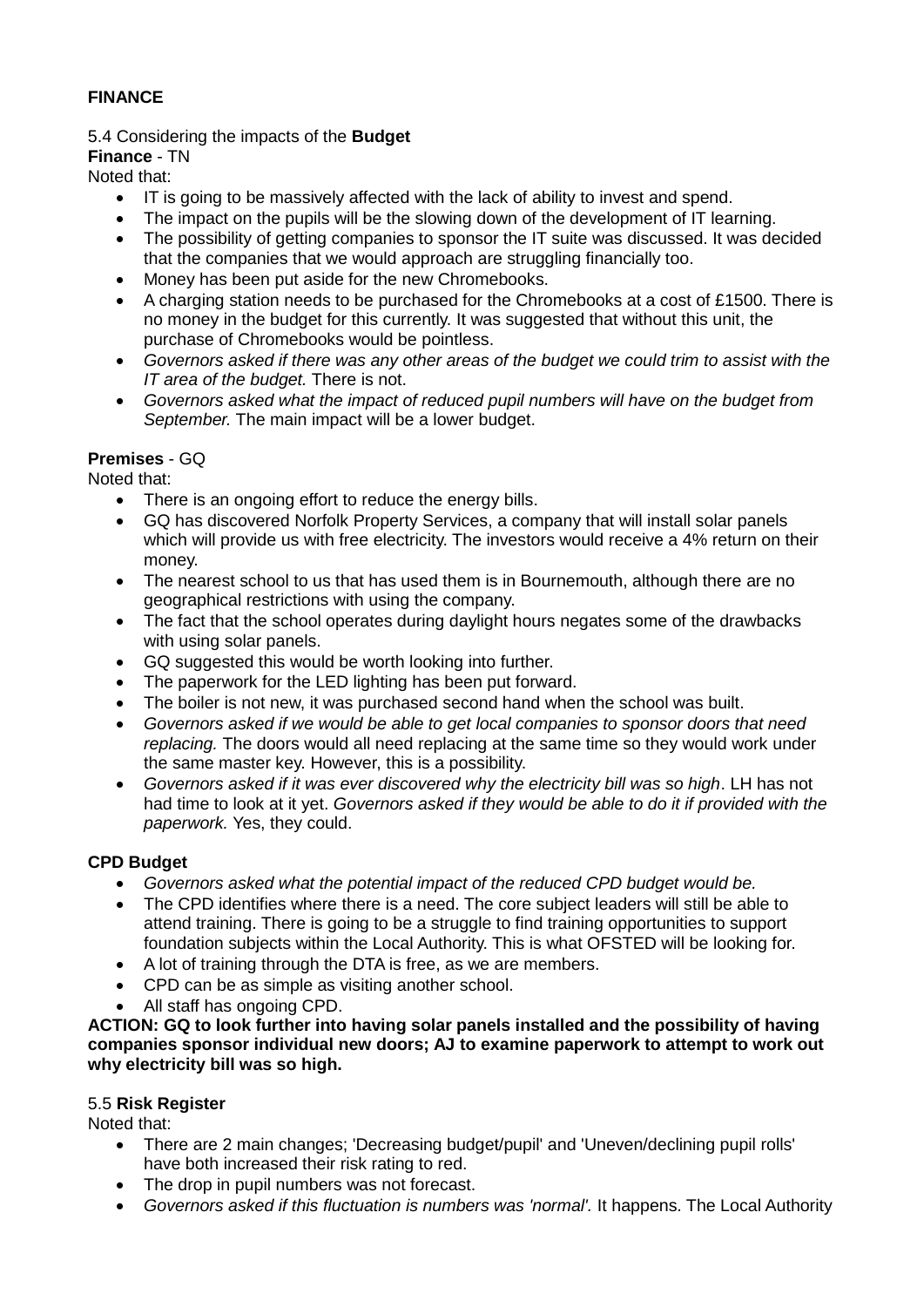## **FINANCE**

5.4 Considering the impacts of the **Budget**

**Finance** - TN

Noted that:

- IT is going to be massively affected with the lack of ability to invest and spend.
- The impact on the pupils will be the slowing down of the development of IT learning.
- The possibility of getting companies to sponsor the IT suite was discussed. It was decided that the companies that we would approach are struggling financially too.
- Money has been put aside for the new Chromebooks.
- A charging station needs to be purchased for the Chromebooks at a cost of £1500. There is no money in the budget for this currently. It was suggested that without this unit, the purchase of Chromebooks would be pointless.
- *Governors asked if there was any other areas of the budget we could trim to assist with the IT area of the budget.* There is not.
- *Governors asked what the impact of reduced pupil numbers will have on the budget from September.* The main impact will be a lower budget.

## **Premises** - GQ

Noted that:

- There is an ongoing effort to reduce the energy bills.
- GQ has discovered Norfolk Property Services, a company that will install solar panels which will provide us with free electricity. The investors would receive a 4% return on their money.
- The nearest school to us that has used them is in Bournemouth, although there are no geographical restrictions with using the company.
- The fact that the school operates during daylight hours negates some of the drawbacks with using solar panels.
- GQ suggested this would be worth looking into further.
- The paperwork for the LED lighting has been put forward.
- The boiler is not new, it was purchased second hand when the school was built.
- *Governors asked if we would be able to get local companies to sponsor doors that need replacing.* The doors would all need replacing at the same time so they would work under the same master key. However, this is a possibility.
- *Governors asked if it was ever discovered why the electricity bill was so high*. LH has not had time to look at it yet. *Governors asked if they would be able to do it if provided with the paperwork.* Yes, they could.

## **CPD Budget**

- *Governors asked what the potential impact of the reduced CPD budget would be.*
- The CPD identifies where there is a need. The core subject leaders will still be able to attend training. There is going to be a struggle to find training opportunities to support foundation subjects within the Local Authority. This is what OFSTED will be looking for.
- A lot of training through the DTA is free, as we are members.
- CPD can be as simple as visiting another school.
- All staff has ongoing CPD.

**ACTION: GQ to look further into having solar panels installed and the possibility of having companies sponsor individual new doors; AJ to examine paperwork to attempt to work out why electricity bill was so high.** 

## 5.5 **Risk Register**

Noted that:

- There are 2 main changes; 'Decreasing budget/pupil' and 'Uneven/declining pupil rolls' have both increased their risk rating to red.
- The drop in pupil numbers was not forecast.
- *Governors asked if this fluctuation is numbers was 'normal'.* It happens. The Local Authority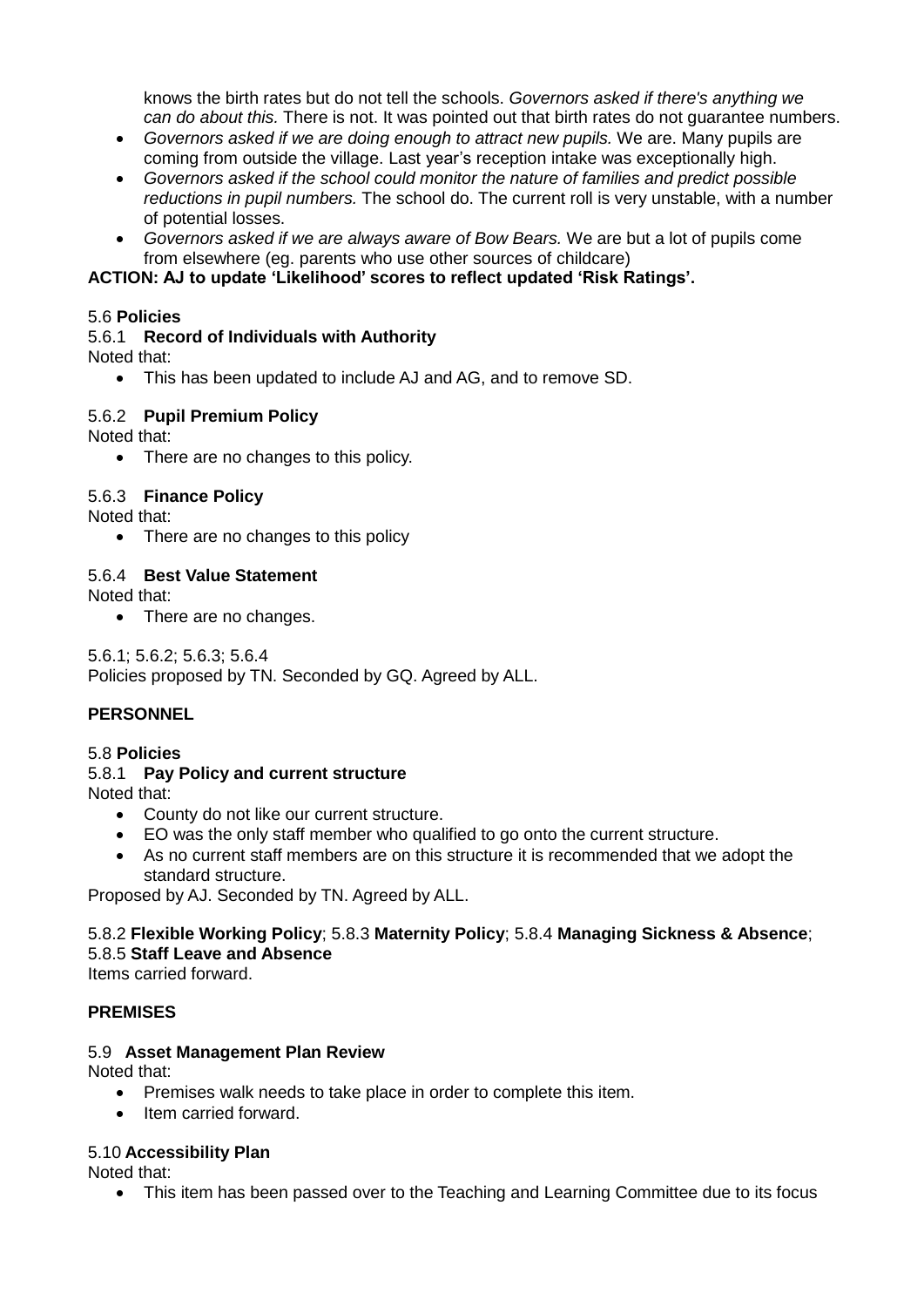knows the birth rates but do not tell the schools. *Governors asked if there's anything we can do about this.* There is not. It was pointed out that birth rates do not guarantee numbers.

- *Governors asked if we are doing enough to attract new pupils.* We are. Many pupils are coming from outside the village. Last year's reception intake was exceptionally high.
- *Governors asked if the school could monitor the nature of families and predict possible reductions in pupil numbers.* The school do. The current roll is very unstable, with a number of potential losses.
- *Governors asked if we are always aware of Bow Bears.* We are but a lot of pupils come from elsewhere (eg. parents who use other sources of childcare)

#### **ACTION: AJ to update 'Likelihood' scores to reflect updated 'Risk Ratings'.**

#### 5.6 **Policies**

#### 5.6.1 **Record of Individuals with Authority**

Noted that:

This has been updated to include AJ and AG, and to remove SD.

#### 5.6.2 **Pupil Premium Policy**

Noted that:

• There are no changes to this policy.

#### 5.6.3 **Finance Policy**

Noted that:

• There are no changes to this policy

#### 5.6.4 **Best Value Statement**

Noted that:

• There are no changes.

5.6.1; 5.6.2; 5.6.3; 5.6.4 Policies proposed by TN. Seconded by GQ. Agreed by ALL.

#### **PERSONNEL**

# 5.8 **Policies**

## 5.8.1 **Pay Policy and current structure**

Noted that:

- County do not like our current structure.
- EO was the only staff member who qualified to go onto the current structure.
- As no current staff members are on this structure it is recommended that we adopt the standard structure.

Proposed by AJ. Seconded by TN. Agreed by ALL.

## 5.8.2 **Flexible Working Policy**; 5.8.3 **Maternity Policy**; 5.8.4 **Managing Sickness & Absence**; 5.8.5 **Staff Leave and Absence**

Items carried forward.

#### **PREMISES**

#### 5.9 **Asset Management Plan Review**

Noted that:

- Premises walk needs to take place in order to complete this item.
- Item carried forward.

#### 5.10 **Accessibility Plan**

Noted that:

• This item has been passed over to the Teaching and Learning Committee due to its focus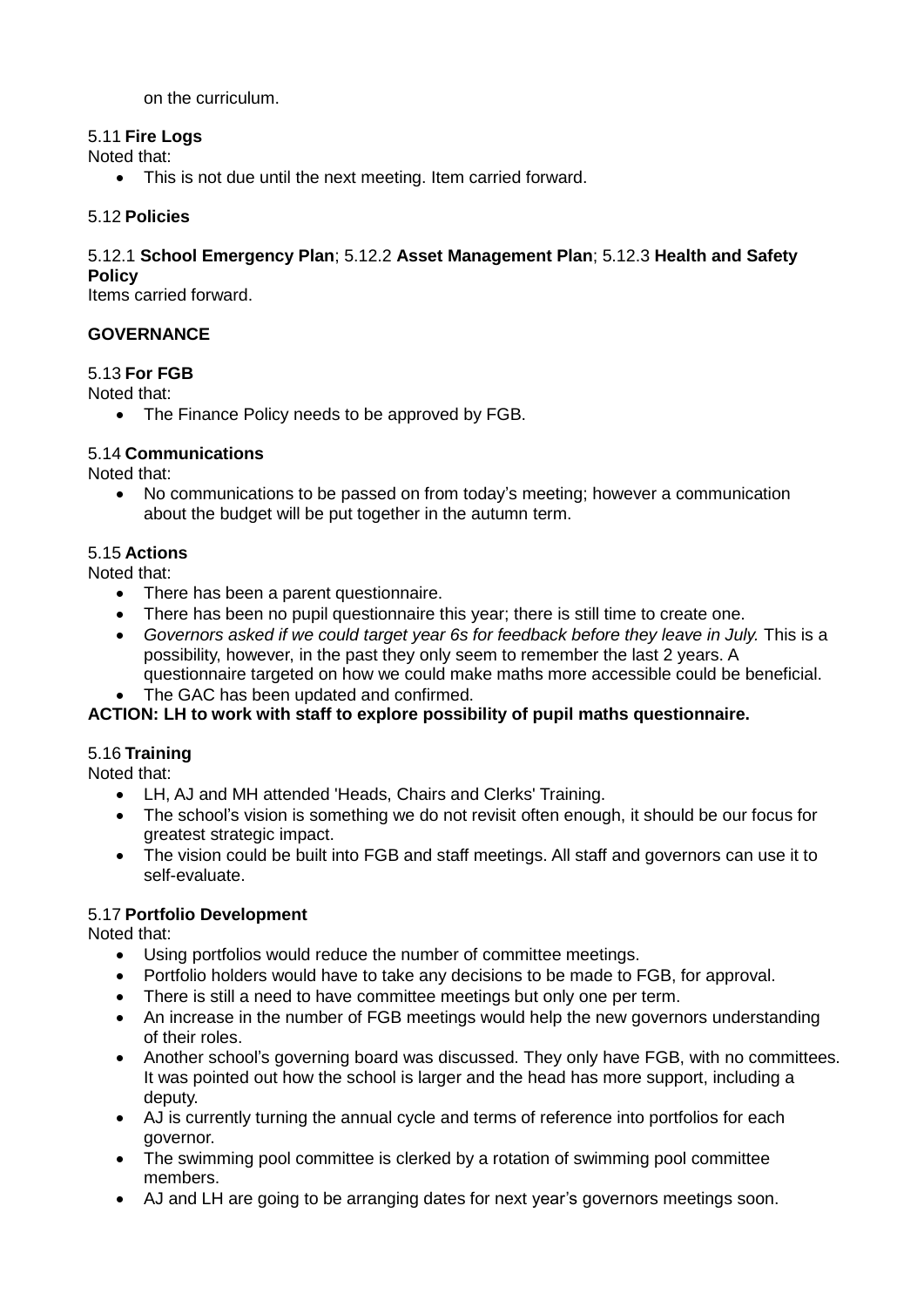on the curriculum.

## 5.11 **Fire Logs**

Noted that:

• This is not due until the next meeting. Item carried forward.

## 5.12 **Policies**

## 5.12.1 **School Emergency Plan**; 5.12.2 **Asset Management Plan**; 5.12.3 **Health and Safety Policy**

Items carried forward.

## **GOVERNANCE**

## 5.13 **For FGB**

Noted that:

• The Finance Policy needs to be approved by FGB.

## 5.14 **Communications**

Noted that:

 No communications to be passed on from today's meeting; however a communication about the budget will be put together in the autumn term.

## 5.15 **Actions**

Noted that:

- There has been a parent questionnaire.
- There has been no pupil questionnaire this year; there is still time to create one.
- Governors asked if we could target year 6s for feedback before they leave in July. This is a possibility, however, in the past they only seem to remember the last 2 years. A questionnaire targeted on how we could make maths more accessible could be beneficial.
- The GAC has been updated and confirmed.

## **ACTION: LH to work with staff to explore possibility of pupil maths questionnaire.**

## 5.16 **Training**

Noted that:

- LH, AJ and MH attended 'Heads, Chairs and Clerks' Training.
- The school's vision is something we do not revisit often enough, it should be our focus for greatest strategic impact.
- The vision could be built into FGB and staff meetings. All staff and governors can use it to self-evaluate.

## 5.17 **Portfolio Development**

Noted that:

- Using portfolios would reduce the number of committee meetings.
- Portfolio holders would have to take any decisions to be made to FGB, for approval.
- There is still a need to have committee meetings but only one per term.
- An increase in the number of FGB meetings would help the new governors understanding of their roles.
- Another school's governing board was discussed. They only have FGB, with no committees. It was pointed out how the school is larger and the head has more support, including a deputy.
- AJ is currently turning the annual cycle and terms of reference into portfolios for each governor.
- The swimming pool committee is clerked by a rotation of swimming pool committee members.
- AJ and LH are going to be arranging dates for next year's governors meetings soon.